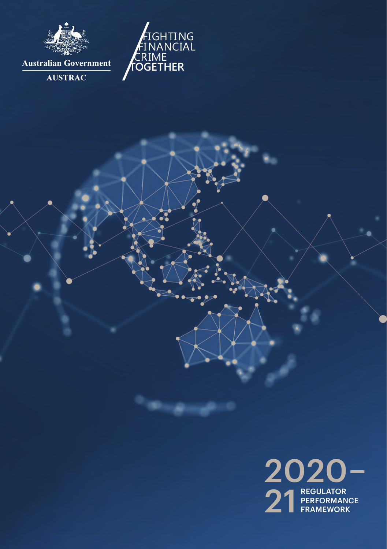



**AUSTRAC** 

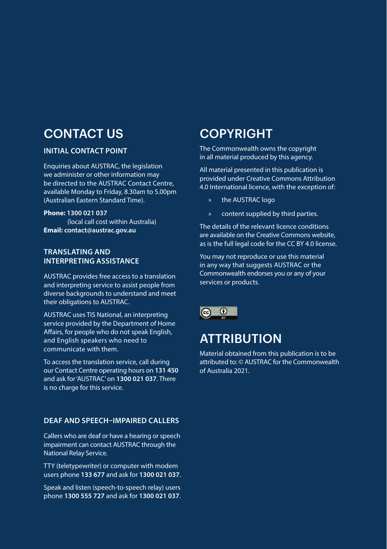## CONTACT US

#### **INITIAL CONTACT POINT**

Enquiries about AUSTRAC, the legislation we administer or other information may be directed to the AUSTRAC Contact Centre, available Monday to Friday, 8.30am to 5.00pm (Australian Eastern Standard Time).

#### **Phone: 1300 021 037**

 (local call cost within Australia) **Email: contact@austrac.gov.au**

#### **TRANSLATING AND INTERPRETING ASSISTANCE**

AUSTRAC provides free access to a translation and interpreting service to assist people from diverse backgrounds to understand and meet their obligations to AUSTRAC.

AUSTRAC uses TIS National, an interpreting service provided by the Department of Home Affairs, for people who do not speak English, and English speakers who need to communicate with them.

To access the translation service, call during our Contact Centre operating hours on **131 450**  and ask for 'AUSTRAC' on **1300 021 037**. There is no charge for this service.

#### **DEAF AND SPEECH–IMPAIRED CALLERS**

Callers who are deaf or have a hearing or speech impairment can contact AUSTRAC through the National Relay Service.

TTY (teletypewriter) or computer with modem users phone **133 677** and ask for **1300 021 037**.

Speak and listen (speech-to-speech relay) users phone **1300 555 727** and ask for **1300 021 037**.

## COPYRIGHT

The Commonwealth owns the copyright in all material produced by this agency.

All material presented in this publication is provided under Creative Commons Attribution 4.0 International licence, with the exception of:

- the AUSTRAC logo
- » content supplied by third parties.

The details of the relevant licence conditions are available on the Creative Commons website, as is the full legal code for the CC BY 4.0 license.

You may not reproduce or use this material in any way that suggests AUSTRAC or the Commonwealth endorses you or any of your services or products.



## **ATTRIBUTION**

Material obtained from this publication is to be attributed to: © AUSTRAC for the Commonwealth of Australia 2021.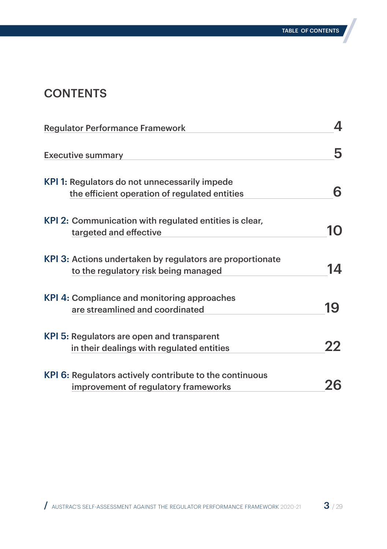## **CONTENTS**

| <b>Regulator Performance Framework</b>                                                               | 4  |
|------------------------------------------------------------------------------------------------------|----|
| <b>Executive summary</b>                                                                             | 5  |
| KPI 1: Regulators do not unnecessarily impede<br>the efficient operation of regulated entities       | 6  |
| KPI 2: Communication with regulated entities is clear,<br>targeted and effective                     |    |
| KPI 3: Actions undertaken by regulators are proportionate<br>to the regulatory risk being managed    |    |
| <b>KPI 4: Compliance and monitoring approaches</b>                                                   | 19 |
| are streamlined and coordinated<br>KPI 5: Regulators are open and transparent                        |    |
| in their dealings with regulated entities<br>KPI 6: Regulators actively contribute to the continuous | フフ |
| improvement of regulatory frameworks                                                                 |    |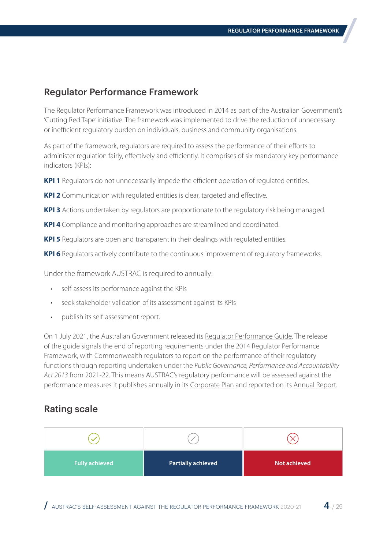### <span id="page-3-0"></span>Regulator Performance Framework

The Regulator Performance Framework was introduced in 2014 as part of the Australian Government's 'Cutting Red Tape' initiative. The framework was implemented to drive the reduction of unnecessary or inefficient regulatory burden on individuals, business and community organisations.

As part of the framework, regulators are required to assess the performance of their efforts to administer regulation fairly, effectively and efficiently. It comprises of six mandatory key performance indicators (KPIs):

**KPI 1** Regulators do not unnecessarily impede the efficient operation of regulated entities.

**KPI 2** Communication with regulated entities is clear, targeted and effective.

**KPI 3** Actions undertaken by regulators are proportionate to the regulatory risk being managed.

**KPI 4** Compliance and monitoring approaches are streamlined and coordinated.

**KPI 5** Regulators are open and transparent in their dealings with regulated entities.

**KPI 6** Regulators actively contribute to the continuous improvement of regulatory frameworks.

Under the framework AUSTRAC is required to annually:

- self-assess its performance against the KPIs
- seek stakeholder validation of its assessment against its KPIs
- publish its self-assessment report.

On 1 July 2021, the Australian Government released its [Regulator Performance Guide.](https://deregulation.pmc.gov.au/priorities/regulator-best-practice-and-performance/regulator-performance-guide) The release of the guide signals the end of reporting requirements under the 2014 Regulator Performance Framework, with Commonwealth regulators to report on the performance of their regulatory functions through reporting undertaken under the *Public Governance, Performance and Accountability Act 2013* from 2021-22. This means AUSTRAC's regulatory performance will be assessed against the performance measures it publishes annually in its [Corporate Plan](https://www.austrac.gov.au/about-us/corporate-information-and-governance/policies-plans-and-commitments/corporate-plan) and reported on its [Annual Report.](https://www.austrac.gov.au/about-us/corporate-information-and-governance/reports-and-accountability/annual-reports)

### Rating scale

| <b>Fully achieved</b> | <b>Partially achieved</b> | Not achieved |
|-----------------------|---------------------------|--------------|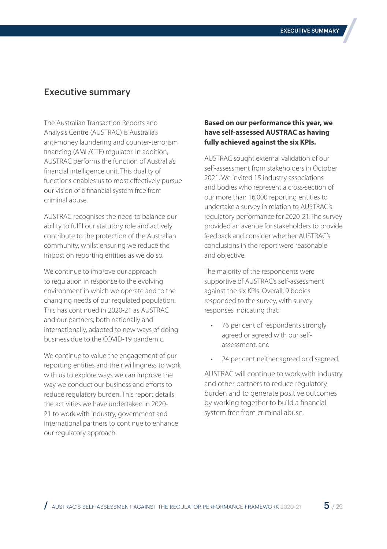### <span id="page-4-0"></span>Executive summary

The Australian Transaction Reports and Analysis Centre (AUSTRAC) is Australia's anti-money laundering and counter-terrorism financing (AML/CTF) regulator. In addition, AUSTRAC performs the function of Australia's financial intelligence unit. This duality of functions enables us to most effectively pursue our vision of a financial system free from criminal abuse.

AUSTRAC recognises the need to balance our ability to fulfil our statutory role and actively contribute to the protection of the Australian community, whilst ensuring we reduce the impost on reporting entities as we do so.

We continue to improve our approach to regulation in response to the evolving environment in which we operate and to the changing needs of our regulated population. This has continued in 2020-21 as AUSTRAC and our partners, both nationally and internationally, adapted to new ways of doing business due to the COVID-19 pandemic.

We continue to value the engagement of our reporting entities and their willingness to work with us to explore ways we can improve the way we conduct our business and efforts to reduce regulatory burden. This report details the activities we have undertaken in 2020- 21 to work with industry, government and international partners to continue to enhance our regulatory approach.

#### **Based on our performance this year, we have self-assessed AUSTRAC as having fully achieved against the six KPIs.**

AUSTRAC sought external validation of our self-assessment from stakeholders in October 2021. We invited 15 industry associations and bodies who represent a cross-section of our more than 16,000 reporting entities to undertake a survey in relation to AUSTRAC's regulatory performance for 2020-21.The survey provided an avenue for stakeholders to provide feedback and consider whether AUSTRAC's conclusions in the report were reasonable and objective.

The majority of the respondents were supportive of AUSTRAC's self-assessment against the six KPIs. Overall, 9 bodies responded to the survey, with survey responses indicating that:

- 76 per cent of respondents strongly agreed or agreed with our selfassessment, and
- 24 per cent neither agreed or disagreed.

AUSTRAC will continue to work with industry and other partners to reduce regulatory burden and to generate positive outcomes by working together to build a financial system free from criminal abuse.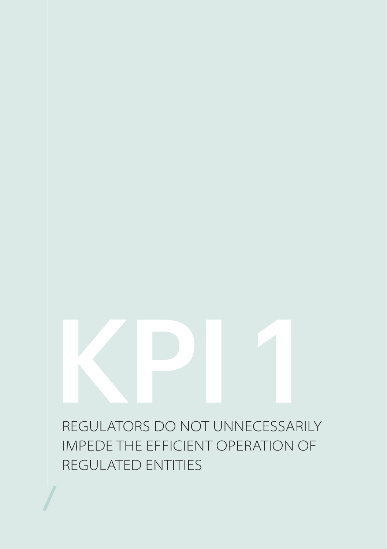<span id="page-5-0"></span>REGULATORS DO NOT UNNECESSARILY IMPEDE THE EFFICIENT OPERATION OF REGULATED ENTITIES KPI 1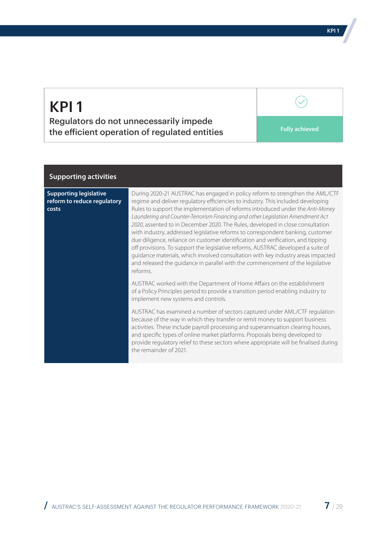Regulators do not unnecessarily impede the efficient operation of regulated entities **Fully achieved** 

#### **Supporting activities**

**Supporting legislative reform to reduce regulatory costs**

During 2020-21 AUSTRAC has engaged in policy reform to strengthen the AML/CTF regime and deliver regulatory efficiencies to industry. This included developing Rules to support the implementation of reforms introduced under the *Anti-Money Laundering and Counter-Terrorism Financing and other Legislation Amendment Act 2020*, assented to in December 2020. The Rules, developed in close consultation with industry, addressed legislative reforms to correspondent banking, customer due diligence, reliance on customer identification and verification, and tipping off provisions. To support the legislative reforms, AUSTRAC developed a suite of guidance materials, which involved consultation with key industry areas impacted and released the guidance in parallel with the commencement of the legislative reforms.

AUSTRAC worked with the Department of Home Affairs on the establishment of a Policy Principles period to provide a transition period enabling industry to implement new systems and controls.

AUSTRAC has examined a number of sectors captured under AML/CTF regulation because of the way in which they transfer or remit money to support business activities. These include payroll processing and superannuation clearing houses, and specific types of online market platforms. Proposals being developed to provide regulatory relief to these sectors where appropriate will be finalised during the remainder of 2021.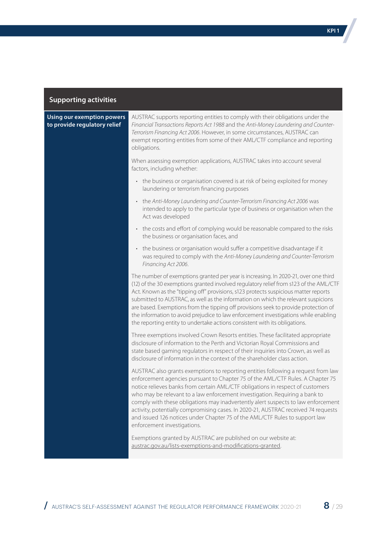| <b>Using our exemption powers</b><br>to provide regulatory relief | AUSTRAC supports reporting entities to comply with their obligations under the<br>Financial Transactions Reports Act 1988 and the Anti-Money Laundering and Counter-<br>Terrorism Financing Act 2006. However, in some circumstances, AUSTRAC can<br>exempt reporting entities from some of their AML/CTF compliance and reporting<br>obligations.                                                                                                                                                                                                                                                                            |
|-------------------------------------------------------------------|-------------------------------------------------------------------------------------------------------------------------------------------------------------------------------------------------------------------------------------------------------------------------------------------------------------------------------------------------------------------------------------------------------------------------------------------------------------------------------------------------------------------------------------------------------------------------------------------------------------------------------|
|                                                                   | When assessing exemption applications, AUSTRAC takes into account several<br>factors, including whether:                                                                                                                                                                                                                                                                                                                                                                                                                                                                                                                      |
|                                                                   | • the business or organisation covered is at risk of being exploited for money<br>laundering or terrorism financing purposes                                                                                                                                                                                                                                                                                                                                                                                                                                                                                                  |
|                                                                   | • the Anti-Money Laundering and Counter-Terrorism Financing Act 2006 was<br>intended to apply to the particular type of business or organisation when the<br>Act was developed                                                                                                                                                                                                                                                                                                                                                                                                                                                |
|                                                                   | • the costs and effort of complying would be reasonable compared to the risks<br>the business or organisation faces, and                                                                                                                                                                                                                                                                                                                                                                                                                                                                                                      |
|                                                                   | • the business or organisation would suffer a competitive disadvantage if it<br>was required to comply with the Anti-Money Laundering and Counter-Terrorism<br>Financing Act 2006.                                                                                                                                                                                                                                                                                                                                                                                                                                            |
|                                                                   | The number of exemptions granted per year is increasing. In 2020-21, over one third<br>(12) of the 30 exemptions granted involved regulatory relief from s123 of the AML/CTF<br>Act. Known as the "tipping off" provisions, s123 protects suspicious matter reports<br>submitted to AUSTRAC, as well as the information on which the relevant suspicions<br>are based. Exemptions from the tipping off provisions seek to provide protection of<br>the information to avoid prejudice to law enforcement investigations while enabling<br>the reporting entity to undertake actions consistent with its obligations.          |
|                                                                   | Three exemptions involved Crown Resorts entities. These facilitated appropriate<br>disclosure of information to the Perth and Victorian Royal Commissions and<br>state based gaming regulators in respect of their inquiries into Crown, as well as<br>disclosure of information in the context of the shareholder class action.                                                                                                                                                                                                                                                                                              |
|                                                                   | AUSTRAC also grants exemptions to reporting entities following a request from law<br>enforcement agencies pursuant to Chapter 75 of the AML/CTF Rules. A Chapter 75<br>notice relieves banks from certain AML/CTF obligations in respect of customers<br>who may be relevant to a law enforcement investigation. Requiring a bank to<br>comply with these obligations may inadvertently alert suspects to law enforcement<br>activity, potentially compromising cases. In 2020-21, AUSTRAC received 74 requests<br>and issued 126 notices under Chapter 75 of the AML/CTF Rules to support law<br>enforcement investigations. |
|                                                                   | Exemptions granted by AUSTRAC are published on our website at:<br>austrac.gov.au/lists-exemptions-and-modifications-granted.                                                                                                                                                                                                                                                                                                                                                                                                                                                                                                  |

KPI 1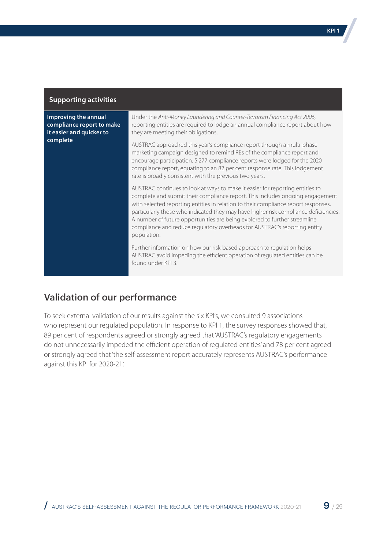**Improving the annual compliance report to make it easier and quicker to complete**

Under the *Anti-Money Laundering and Counter-Terrorism Financing Act 2006*, reporting entities are required to lodge an annual compliance report about how they are meeting their obligations.

AUSTRAC approached this year's compliance report through a multi-phase marketing campaign designed to remind REs of the compliance report and encourage participation. 5,277 compliance reports were lodged for the 2020 compliance report, equating to an 82 per cent response rate. This lodgement rate is broadly consistent with the previous two years.

AUSTRAC continues to look at ways to make it easier for reporting entities to complete and submit their compliance report. This includes ongoing engagement with selected reporting entities in relation to their compliance report responses, particularly those who indicated they may have higher risk compliance deficiencies. A number of future opportunities are being explored to further streamline compliance and reduce regulatory overheads for AUSTRAC's reporting entity population.

Further information on how our risk-based approach to regulation helps AUSTRAC avoid impeding the efficient operation of regulated entities can be found under KPI 3.

## Validation of our performance

To seek external validation of our results against the six KPI's, we consulted 9 associations who represent our regulated population. In response to KPI 1, the survey responses showed that, 89 per cent of respondents agreed or strongly agreed that 'AUSTRAC's regulatory engagements do not unnecessarily impeded the efficient operation of regulated entities' and 78 per cent agreed or strongly agreed that 'the self-assessment report accurately represents AUSTRAC's performance against this KPI for 2020-21.'

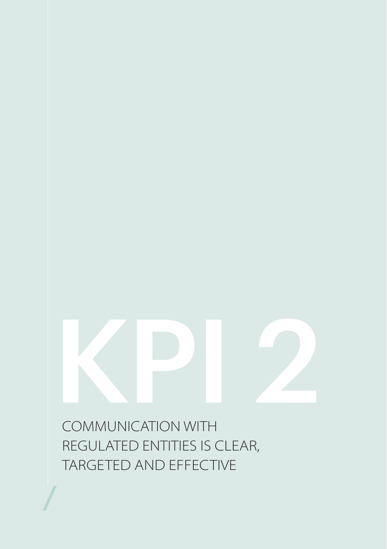<span id="page-9-0"></span>COMMUNICATION WITH REGULATED ENTITIES IS CLEAR, TARGETED AND EFFECTIVE KPI 2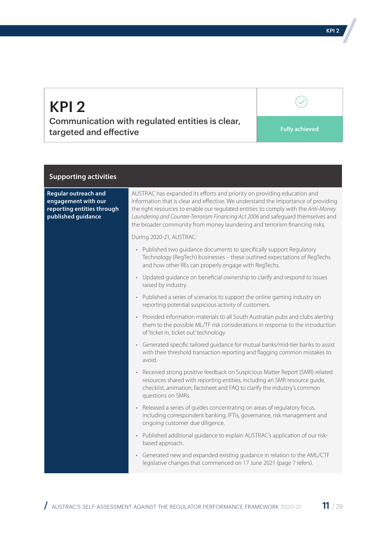Communication with regulated entities is clear, targeted and effective **Fully achieved** 

 $\mathcal{S}$ 

#### **Supporting activities**

| <b>Regular outreach and</b><br>engagement with our<br>reporting entities through<br>published guidance | AUSTRAC has expanded its efforts and priority on providing education and<br>information that is clear and effective. We understand the importance of providing<br>the right resources to enable our regulated entities to comply with the Anti-Money<br>Laundering and Counter-Terrorism Financing Act 2006 and safequard themselves and<br>the broader community from money laundering and terrorism financing risks. |  |
|--------------------------------------------------------------------------------------------------------|------------------------------------------------------------------------------------------------------------------------------------------------------------------------------------------------------------------------------------------------------------------------------------------------------------------------------------------------------------------------------------------------------------------------|--|
|                                                                                                        | During 2020-21, AUSTRAC:                                                                                                                                                                                                                                                                                                                                                                                               |  |
|                                                                                                        | • Published two quidance documents to specifically support Regulatory<br>Technology (RegTech) businesses - these outlined expectations of RegTechs<br>and how other REs can properly engage with RegTechs.                                                                                                                                                                                                             |  |
|                                                                                                        | • Updated quidance on beneficial ownership to clarify and respond to issues<br>raised by industry.                                                                                                                                                                                                                                                                                                                     |  |
|                                                                                                        | • Published a series of scenarios to support the online gaming industry on<br>reporting potential suspicious activity of customers.                                                                                                                                                                                                                                                                                    |  |
|                                                                                                        | • Provided information materials to all South Australian pubs and clubs alerting<br>them to the possible ML/TF risk considerations in response to the introduction<br>of 'ticket in, ticket out' technology.                                                                                                                                                                                                           |  |
|                                                                                                        | • Generated specific tailored quidance for mutual banks/mid-tier banks to assist<br>with their threshold transaction reporting and flagging common mistakes to<br>avoid.                                                                                                                                                                                                                                               |  |
|                                                                                                        | Received strong positive feedback on Suspicious Matter Report (SMR)-related<br>$\bullet$<br>resources shared with reporting entities, including an SMR resource quide,<br>checklist, animation, factsheet and FAQ to clarify the industry's common<br>questions on SMRs.                                                                                                                                               |  |
|                                                                                                        | • Released a series of quides concentrating on areas of regulatory focus,<br>including correspondent banking, IFTIs, governance, risk management and<br>ongoing customer due diligence.                                                                                                                                                                                                                                |  |
|                                                                                                        | • Published additional quidance to explain AUSTRAC's application of our risk-<br>based approach.                                                                                                                                                                                                                                                                                                                       |  |
|                                                                                                        | • Generated new and expanded existing guidance in relation to the AML/CTF<br>legislative changes that commenced on 17 June 2021 (page 7 refers).                                                                                                                                                                                                                                                                       |  |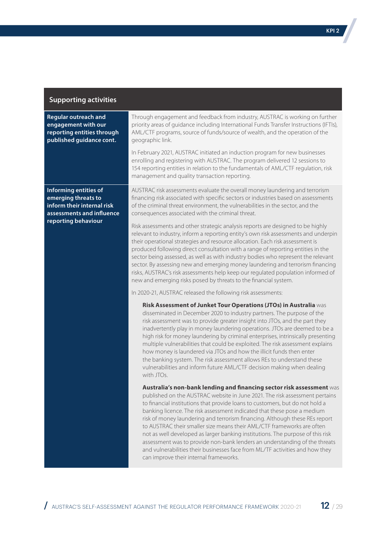| <b>Regular outreach and</b><br>engagement with our<br>reporting entities through<br>published guidance cont.                   | Through engagement and feedback from industry, AUSTRAC is working on further<br>priority areas of guidance including International Funds Transfer Instructions (IFTIs),<br>AML/CTF programs, source of funds/source of wealth, and the operation of the<br>geographic link.                                                                                                                                                                                                                                                                                                                                                                                                                                                                                        |
|--------------------------------------------------------------------------------------------------------------------------------|--------------------------------------------------------------------------------------------------------------------------------------------------------------------------------------------------------------------------------------------------------------------------------------------------------------------------------------------------------------------------------------------------------------------------------------------------------------------------------------------------------------------------------------------------------------------------------------------------------------------------------------------------------------------------------------------------------------------------------------------------------------------|
|                                                                                                                                | In February 2021, AUSTRAC initiated an induction program for new businesses<br>enrolling and registering with AUSTRAC. The program delivered 12 sessions to<br>154 reporting entities in relation to the fundamentals of AML/CTF regulation, risk<br>management and quality transaction reporting.                                                                                                                                                                                                                                                                                                                                                                                                                                                                 |
| Informing entities of<br>emerging threats to<br>inform their internal risk<br>assessments and influence<br>reporting behaviour | AUSTRAC risk assessments evaluate the overall money laundering and terrorism<br>financing risk associated with specific sectors or industries based on assessments<br>of the criminal threat environment, the vulnerabilities in the sector, and the<br>consequences associated with the criminal threat.                                                                                                                                                                                                                                                                                                                                                                                                                                                          |
|                                                                                                                                | Risk assessments and other strategic analysis reports are designed to be highly<br>relevant to industry, inform a reporting entity's own risk assessments and underpin<br>their operational strategies and resource allocation. Each risk assessment is<br>produced following direct consultation with a range of reporting entities in the<br>sector being assessed, as well as with industry bodies who represent the relevant<br>sector. By assessing new and emerging money laundering and terrorism financing<br>risks, AUSTRAC's risk assessments help keep our regulated population informed of<br>new and emerging risks posed by threats to the financial system.                                                                                         |
|                                                                                                                                | In 2020-21, AUSTRAC released the following risk assessments:                                                                                                                                                                                                                                                                                                                                                                                                                                                                                                                                                                                                                                                                                                       |
|                                                                                                                                | Risk Assessment of Junket Tour Operations (JTOs) in Australia was<br>disseminated in December 2020 to industry partners. The purpose of the<br>risk assessment was to provide greater insight into JTOs, and the part they<br>inadvertently play in money laundering operations. JTOs are deemed to be a<br>high risk for money laundering by criminal enterprises, intrinsically presenting<br>multiple vulnerabilities that could be exploited. The risk assessment explains<br>how money is laundered via JTOs and how the illicit funds then enter<br>the banking system. The risk assessment allows REs to understand these<br>vulnerabilities and inform future AML/CTF decision making when dealing<br>with JTOs.                                           |
|                                                                                                                                | Australia's non-bank lending and financing sector risk assessment was<br>published on the AUSTRAC website in June 2021. The risk assessment pertains<br>to financial institutions that provide loans to customers, but do not hold a<br>banking licence. The risk assessment indicated that these pose a medium<br>risk of money laundering and terrorism financing. Although these REs report<br>to AUSTRAC their smaller size means their AML/CTF frameworks are often<br>not as well developed as larger banking institutions. The purpose of this risk<br>assessment was to provide non-bank lenders an understanding of the threats<br>and vulnerabilities their businesses face from ML/TF activities and how they<br>can improve their internal frameworks. |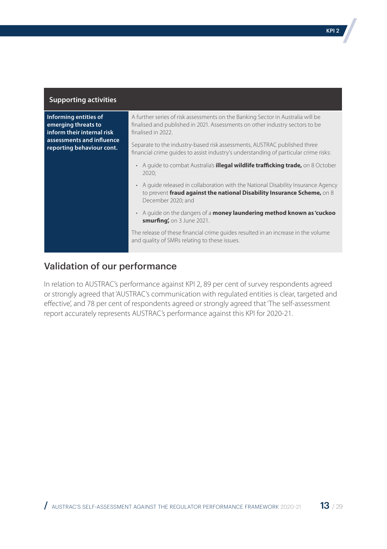**Informing entities of emerging threats to inform their internal risk assessments and influence reporting behaviour cont.**

A further series of risk assessments on the Banking Sector in Australia will be finalised and published in 2021. Assessments on other industry sectors to be finalised in 2022.

Separate to the industry-based risk assessments, AUSTRAC published three financial crime guides to assist industry's understanding of particular crime risks:

- A guide to combat Australia's **illegal wildlife trafficking trade,** on 8 October 2020;
- A guide released in collaboration with the National Disability Insurance Agency to prevent **fraud against the national Disability Insurance Scheme,** on 8 December 2020; and
- A guide on the dangers of a **money laundering method known as 'cuckoo smurfing',** on 3 June 2021.

The release of these financial crime guides resulted in an increase in the volume and quality of SMRs relating to these issues.

### Validation of our performance

In relation to AUSTRAC's performance against KPI 2, 89 per cent of survey respondents agreed or strongly agreed that 'AUSTRAC's communication with regulated entities is clear, targeted and effective', and 78 per cent of respondents agreed or strongly agreed that 'The self-assessment report accurately represents AUSTRAC's performance against this KPI for 2020-21.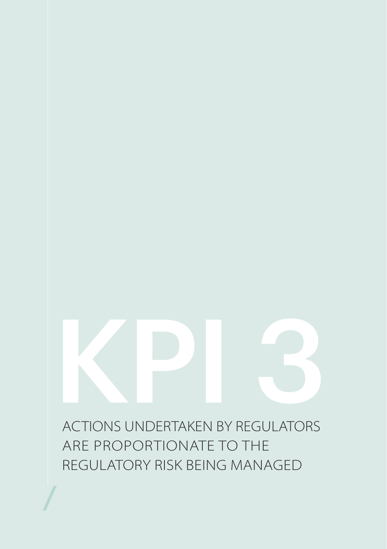<span id="page-13-0"></span>ACTIONS UNDERTAKEN BY REGULATORS ARE PROPORTIONATE TO THE REGULATORY RISK BEING MANAGED KPI 3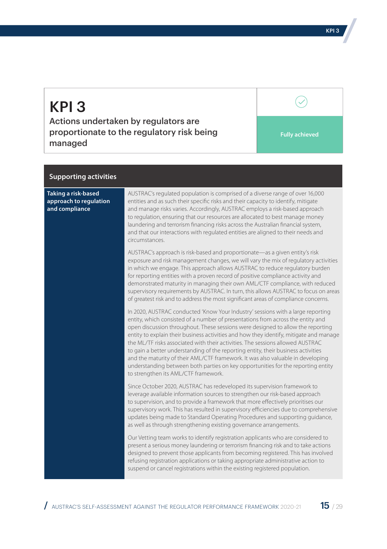Actions undertaken by regulators are proportionate to the regulatory risk being managed

**Fully achieved**

 $\mathcal{S}$ 

#### **Supporting activities**

| Taking a risk-based<br>approach to regulation<br>and compliance | AUSTRAC's regulated population is comprised of a diverse range of over 16,000<br>entities and as such their specific risks and their capacity to identify, mitigate<br>and manage risks varies. Accordingly, AUSTRAC employs a risk-based approach<br>to regulation, ensuring that our resources are allocated to best manage money<br>laundering and terrorism financing risks across the Australian financial system,<br>and that our interactions with regulated entities are aligned to their needs and<br>circumstances.                                                                                                                                                                                                         |
|-----------------------------------------------------------------|---------------------------------------------------------------------------------------------------------------------------------------------------------------------------------------------------------------------------------------------------------------------------------------------------------------------------------------------------------------------------------------------------------------------------------------------------------------------------------------------------------------------------------------------------------------------------------------------------------------------------------------------------------------------------------------------------------------------------------------|
|                                                                 | AUSTRAC's approach is risk-based and proportionate—as a given entity's risk<br>exposure and risk management changes, we will vary the mix of regulatory activities<br>in which we engage. This approach allows AUSTRAC to reduce regulatory burden<br>for reporting entities with a proven record of positive compliance activity and<br>demonstrated maturity in managing their own AML/CTF compliance, with reduced<br>supervisory requirements by AUSTRAC. In turn, this allows AUSTRAC to focus on areas<br>of greatest risk and to address the most significant areas of compliance concerns.                                                                                                                                    |
|                                                                 | In 2020, AUSTRAC conducted 'Know Your Industry' sessions with a large reporting<br>entity, which consisted of a number of presentations from across the entity and<br>open discussion throughout. These sessions were designed to allow the reporting<br>entity to explain their business activities and how they identify, mitigate and manage<br>the ML/TF risks associated with their activities. The sessions allowed AUSTRAC<br>to gain a better understanding of the reporting entity, their business activities<br>and the maturity of their AML/CTF framework. It was also valuable in developing<br>understanding between both parties on key opportunities for the reporting entity<br>to strengthen its AML/CTF framework. |
|                                                                 | Since October 2020, AUSTRAC has redeveloped its supervision framework to<br>leverage available information sources to strengthen our risk-based approach<br>to supervision, and to provide a framework that more effectively prioritises our<br>supervisory work. This has resulted in supervisory efficiencies due to comprehensive<br>updates being made to Standard Operating Procedures and supporting quidance,<br>as well as through strengthening existing governance arrangements.                                                                                                                                                                                                                                            |
|                                                                 | Our Vetting team works to identify registration applicants who are considered to<br>present a serious money laundering or terrorism financing risk and to take actions<br>designed to prevent those applicants from becoming registered. This has involved<br>refusing registration applications or taking appropriate administrative action to<br>suspend or cancel registrations within the existing registered population.                                                                                                                                                                                                                                                                                                         |

 $/$  austrac's self-assessment against the regulator performance framework 2020-21  $15$  / 29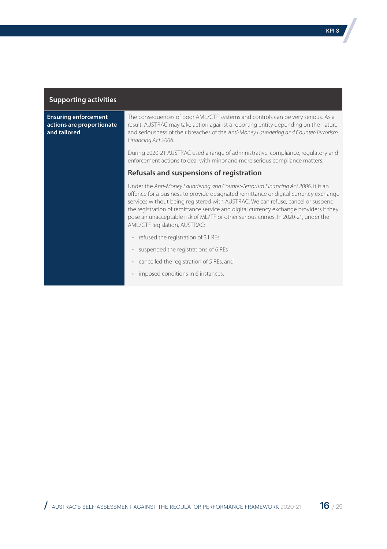#### **Ensuring enforcement actions are proportionate and tailored**

The consequences of poor AML/CTF systems and controls can be very serious. As a result, AUSTRAC may take action against a reporting entity depending on the nature and seriousness of their breaches of the *Anti-Money Laundering and Counter-Terrorism Financing Act 2006*.

During 2020-21 AUSTRAC used a range of administrative, compliance, regulatory and enforcement actions to deal with minor and more serious compliance matters:

#### **Refusals and suspensions of registration**

Under the *Anti-Money Laundering and Counter-Terrorism Financing Act 2006*, it is an offence for a business to provide designated remittance or digital currency exchange services without being registered with AUSTRAC. We can refuse, cancel or suspend the registration of remittance service and digital currency exchange providers if they pose an unacceptable risk of ML/TF or other serious crimes. In 2020-21, under the AML/CTF legislation, AUSTRAC:

- refused the registration of 31 REs
- suspended the registrations of 6 REs
- cancelled the registration of 5 REs, and
- imposed conditions in 6 instances.

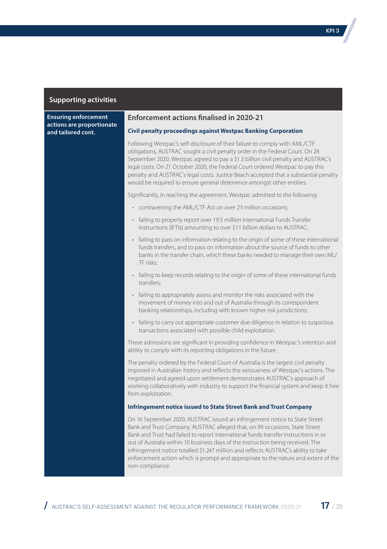**Ensuring enforcement actions are proportionate and tailored cont.**

#### **Enforcement actions finalised in 2020-21**

#### **Civil penalty proceedings against Westpac Banking Corporation**

Following Westpac's self-disclosure of their failure to comply with AML/CTF obligations, AUSTRAC sought a civil penalty order in the Federal Court. On 24 September 2020, Westpac agreed to pay a \$1.3 billion civil penalty and AUSTRAC's legal costs. On 21 October 2020, the Federal Court ordered Westpac to pay this penalty and AUSTRAC's legal costs. Justice Beach accepted that a substantial penalty would be required to ensure general deterrence amongst other entities.

Significantly, in reaching the agreement, Westpac admitted to the following:

- contravening the AML/CTF Act on over 23 million occasions;
- failing to properly report over 19.5 million International Funds Transfer Instructions (IFTIs) amounting to over \$11 billion dollars to AUSTRAC;
- failing to pass on information relating to the origin of some of these international funds transfers, and to pass on information about the source of funds to other banks in the transfer chain, which these banks needed to manage their own ML/ TF risks;
- failing to keep records relating to the origin of some of these international funds transfers;
- failing to appropriately assess and monitor the risks associated with the movement of money into and out of Australia through its correspondent banking relationships, including with known higher risk jurisdictions;
- failing to carry out appropriate customer due diligence in relation to suspicious transactions associated with possible child exploitation.

These admissions are significant in providing confidence in Westpac's intention and ability to comply with its reporting obligations in the future.

The penalty ordered by the Federal Court of Australia is the largest civil penalty imposed in Australian history and reflects the seriousness of Westpac's actions. The negotiated and agreed upon settlement demonstrates AUSTRAC's approach of working collaboratively with industry to support the financial system and keep it free from exploitation.

#### **Infringement notice issued to State Street Bank and Trust Company**

On 16 September 2020, AUSTRAC issued an infringement notice to State Street Bank and Trust Company. AUSTRAC alleged that, on 99 occasions, State Street Bank and Trust had failed to report international funds transfer instructions in or out of Australia within 10 business days of the instruction being received. The infringement notice totalled \$1.247 million and reflects AUSTRAC's ability to take enforcement action which is prompt and appropriate to the nature and extent of the non-compliance.

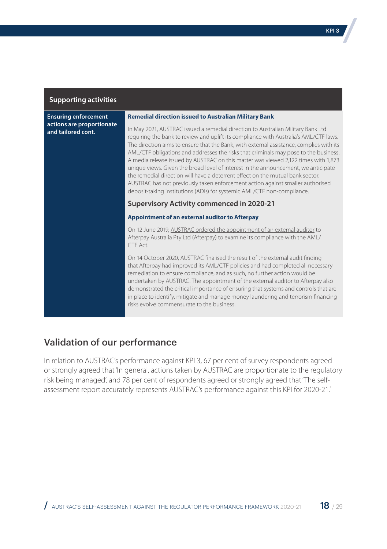**Ensuring enforcement actions are proportionate and tailored cont.**

#### **Remedial direction issued to Australian Military Bank**

In May 2021, AUSTRAC issued a remedial direction to Australian Military Bank Ltd requiring the bank to review and uplift its compliance with Australia's AML/CTF laws. The direction aims to ensure that the Bank, with external assistance, complies with its AML/CTF obligations and addresses the risks that criminals may pose to the business. A media release issued by AUSTRAC on this matter was viewed 2,122 times with 1,873 unique views. Given the broad level of interest in the announcement, we anticipate the remedial direction will have a deterrent effect on the mutual bank sector. AUSTRAC has not previously taken enforcement action against smaller authorised deposit-taking institutions (ADIs) for systemic AML/CTF non-compliance.

#### **Supervisory Activity commenced in 2020-21**

#### **Appointment of an external auditor to Afterpay**

On 12 June 2019, [AUSTRAC ordered the appointment of an external auditor](https://www.austrac.gov.au/austrac-orders-audit-afterpays-compliance-financial-crime-legislation) to Afterpay Australia Pty Ltd (Afterpay) to examine its compliance with the AML/ CTF Act.

On 14 October 2020, AUSTRAC finalised the result of the external audit finding that Afterpay had improved its AML/CTF policies and had completed all necessary remediation to ensure compliance, and as such, no further action would be undertaken by AUSTRAC. The appointment of the external auditor to Afterpay also demonstrated the critical importance of ensuring that systems and controls that are in place to identify, mitigate and manage money laundering and terrorism financing risks evolve commensurate to the business.

## Validation of our performance

In relation to AUSTRAC's performance against KPI 3, 67 per cent of survey respondents agreed or strongly agreed that 'In general, actions taken by AUSTRAC are proportionate to the regulatory risk being managed', and 78 per cent of respondents agreed or strongly agreed that 'The selfassessment report accurately represents AUSTRAC's performance against this KPI for 2020-21.'

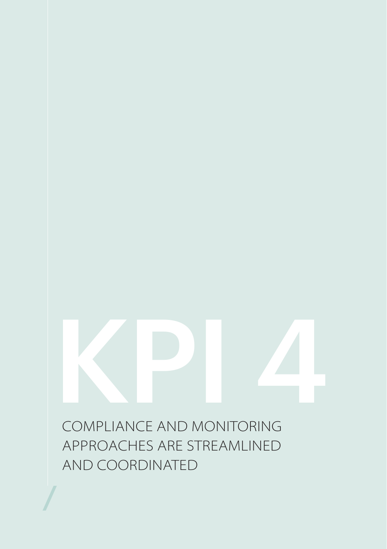<span id="page-18-0"></span>COMPLIANCE AND MONITORING KPI 4

APPROACHES ARE STREAMLINED AND COORDINATED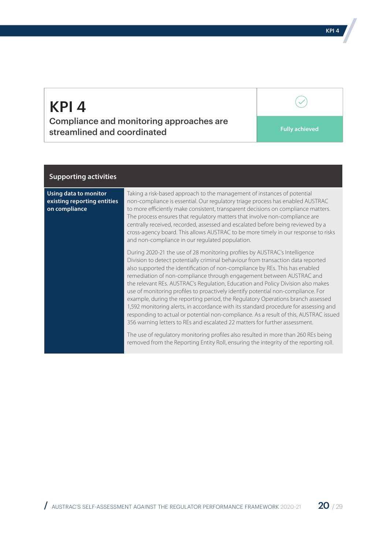Compliance and monitoring approaches are streamlined and coordinated **Fully achieved Fully achieved** 

#### **Supporting activities**

**Using data to monitor existing reporting entities on compliance**

Taking a risk-based approach to the management of instances of potential non-compliance is essential. Our regulatory triage process has enabled AUSTRAC to more efficiently make consistent, transparent decisions on compliance matters. The process ensures that regulatory matters that involve non-compliance are centrally received, recorded, assessed and escalated before being reviewed by a cross-agency board. This allows AUSTRAC to be more timely in our response to risks and non-compliance in our regulated population.

During 2020-21 the use of 28 monitoring profiles by AUSTRAC's Intelligence Division to detect potentially criminal behaviour from transaction data reported also supported the identification of non-compliance by REs. This has enabled remediation of non-compliance through engagement between AUSTRAC and the relevant REs. AUSTRAC's Regulation, Education and Policy Division also makes use of monitoring profiles to proactively identify potential non-compliance. For example, during the reporting period, the Regulatory Operations branch assessed 1,592 monitoring alerts, in accordance with its standard procedure for assessing and responding to actual or potential non-compliance. As a result of this, AUSTRAC issued 356 warning letters to REs and escalated 22 matters for further assessment.

The use of regulatory monitoring profiles also resulted in more than 260 REs being removed from the Reporting Entity Roll, ensuring the integrity of the reporting roll.

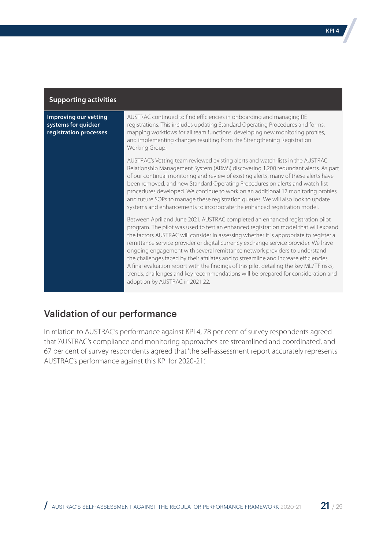| <b>Supporting activities</b>                                           |                                                                                                                                                                                                                                                                                                                                                                                                                                                                                                                                                                                                                                                                                                                                                 |
|------------------------------------------------------------------------|-------------------------------------------------------------------------------------------------------------------------------------------------------------------------------------------------------------------------------------------------------------------------------------------------------------------------------------------------------------------------------------------------------------------------------------------------------------------------------------------------------------------------------------------------------------------------------------------------------------------------------------------------------------------------------------------------------------------------------------------------|
| Improving our vetting<br>systems for quicker<br>registration processes | AUSTRAC continued to find efficiencies in onboarding and managing RE<br>registrations. This includes updating Standard Operating Procedures and forms,<br>mapping workflows for all team functions, developing new monitoring profiles,<br>and implementing changes resulting from the Strengthening Registration<br>Working Group.                                                                                                                                                                                                                                                                                                                                                                                                             |
|                                                                        | AUSTRAC's Vetting team reviewed existing alerts and watch-lists in the AUSTRAC<br>Relationship Management System (ARMS) discovering 1,200 redundant alerts. As part<br>of our continual monitoring and review of existing alerts, many of these alerts have<br>been removed, and new Standard Operating Procedures on alerts and watch-list<br>procedures developed. We continue to work on an additional 12 monitoring profiles<br>and future SOPs to manage these registration queues. We will also look to update<br>systems and enhancements to incorporate the enhanced registration model.                                                                                                                                                |
|                                                                        | Between April and June 2021, AUSTRAC completed an enhanced registration pilot<br>program. The pilot was used to test an enhanced registration model that will expand<br>the factors AUSTRAC will consider in assessing whether it is appropriate to register a<br>remittance service provider or digital currency exchange service provider. We have<br>ongoing engagement with several remittance network providers to understand<br>the challenges faced by their affiliates and to streamline and increase efficiencies.<br>A final evaluation report with the findings of this pilot detailing the key ML/TF risks,<br>trends, challenges and key recommendations will be prepared for consideration and<br>adoption by AUSTRAC in 2021-22. |

## Validation of our performance

In relation to AUSTRAC's performance against KPI 4, 78 per cent of survey respondents agreed that 'AUSTRAC's compliance and monitoring approaches are streamlined and coordinated', and 67 per cent of survey respondents agreed that 'the self-assessment report accurately represents AUSTRAC's performance against this KPI for 2020-21.'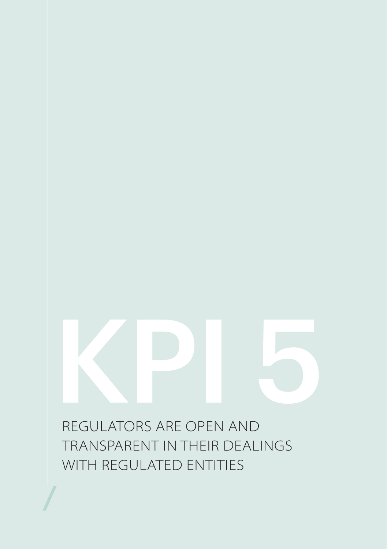<span id="page-21-0"></span>REGULATORS ARE OPEN AND TRANSPARENT IN THEIR DEALINGS WITH REGULATED ENTITIES KPI 5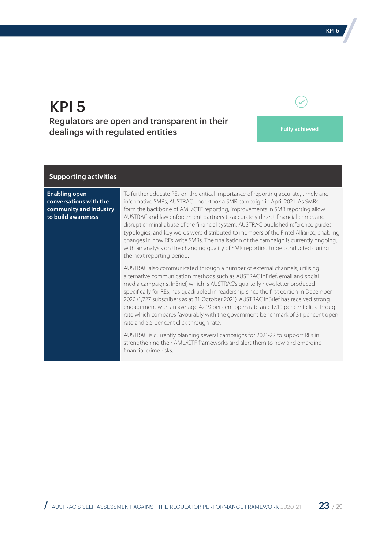Regulators are open and transparent in their dealings with regulated entities **Fully achieved Fully** achieved

#### **Supporting activities**

**Enabling open conversations with the community and industry to build awareness** 

To further educate REs on the critical importance of reporting accurate, timely and informative SMRs, AUSTRAC undertook a SMR campaign in April 2021. As SMRs form the backbone of AML/CTF reporting, improvements in SMR reporting allow AUSTRAC and law enforcement partners to accurately detect financial crime, and disrupt criminal abuse of the financial system. AUSTRAC published reference guides, typologies, and key words were distributed to members of the Fintel Alliance, enabling changes in how REs write SMRs. The finalisation of the campaign is currently ongoing, with an analysis on the changing quality of SMR reporting to be conducted during the next reporting period.

AUSTRAC also communicated through a number of external channels, utilising alternative communication methods such as AUSTRAC InBrief, email and social media campaigns. InBrief, which is AUSTRAC's quarterly newsletter produced specifically for REs, has quadrupled in readership since the first edition in December 2020 (1,727 subscribers as at 31 October 2021). AUSTRAC InBrief has received strong engagement with an average 42.19 per cent open rate and 17.10 per cent click through rate which compares favourably with the [government benchmark](mailto:https://www.campaignmonitor.com/resources/guides/australia-email-marketing-benchmarks/) of 31 per cent open rate and 5.5 per cent click through rate.

AUSTRAC is currently planning several campaigns for 2021-22 to support REs in strengthening their AML/CTF frameworks and alert them to new and emerging financial crime risks.

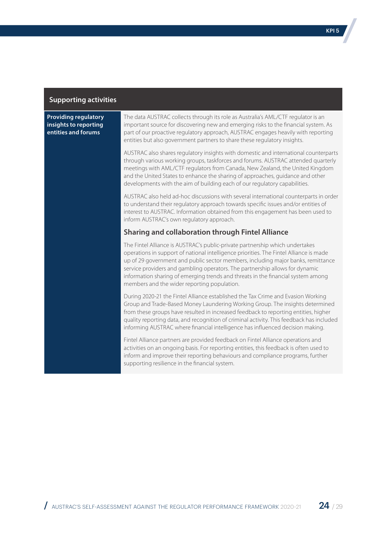#### **Providing regulatory insights to reporting entities and forums**

The data AUSTRAC collects through its role as Australia's AML/CTF regulator is an important source for discovering new and emerging risks to the financial system. As part of our proactive regulatory approach, AUSTRAC engages heavily with reporting entities but also government partners to share these regulatory insights.

AUSTRAC also shares regulatory insights with domestic and international counterparts through various working groups, taskforces and forums. AUSTRAC attended quarterly meetings with AML/CTF regulators from Canada, New Zealand, the United Kingdom and the United States to enhance the sharing of approaches, guidance and other developments with the aim of building each of our regulatory capabilities.

AUSTRAC also held ad-hoc discussions with several international counterparts in order to understand their regulatory approach towards specific issues and/or entities of interest to AUSTRAC. Information obtained from this engagement has been used to inform AUSTRAC's own regulatory approach.

#### **Sharing and collaboration through Fintel Alliance**

The Fintel Alliance is AUSTRAC's public-private partnership which undertakes operations in support of national intelligence priorities. The Fintel Alliance is made up of 29 government and public sector members, including major banks, remittance service providers and gambling operators. The partnership allows for dynamic information sharing of emerging trends and threats in the financial system among members and the wider reporting population.

During 2020-21 the Fintel Alliance established the Tax Crime and Evasion Working Group and Trade-Based Money Laundering Working Group. The insights determined from these groups have resulted in increased feedback to reporting entities, higher quality reporting data, and recognition of criminal activity. This feedback has included informing AUSTRAC where financial intelligence has influenced decision making.

Fintel Alliance partners are provided feedback on Fintel Alliance operations and activities on an ongoing basis. For reporting entities, this feedback is often used to inform and improve their reporting behaviours and compliance programs, further supporting resilience in the financial system.

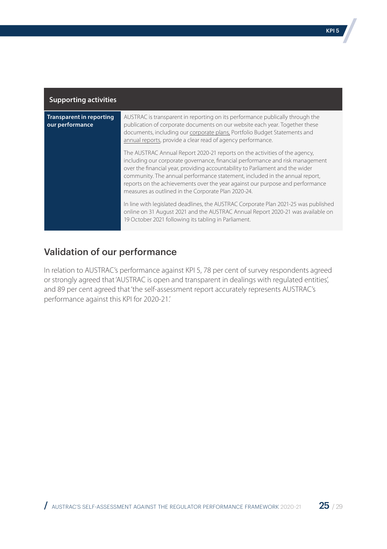| <b>Supporting activities</b>                       |                                                                                                                                                                                                                                                                                                                                                                                                                                                                     |
|----------------------------------------------------|---------------------------------------------------------------------------------------------------------------------------------------------------------------------------------------------------------------------------------------------------------------------------------------------------------------------------------------------------------------------------------------------------------------------------------------------------------------------|
| <b>Transparent in reporting</b><br>our performance | AUSTRAC is transparent in reporting on its performance publically through the<br>publication of corporate documents on our website each year. Together these<br>documents, including our corporate plans, Portfolio Budget Statements and<br>annual reports, provide a clear read of agency performance.                                                                                                                                                            |
|                                                    | The AUSTRAC Annual Report 2020-21 reports on the activities of the agency,<br>including our corporate governance, financial performance and risk management<br>over the financial year, providing accountability to Parliament and the wider<br>community. The annual performance statement, included in the annual report,<br>reports on the achievements over the year against our purpose and performance<br>measures as outlined in the Corporate Plan 2020-24. |
|                                                    | In line with legislated deadlines, the AUSTRAC Corporate Plan 2021-25 was published<br>online on 31 August 2021 and the AUSTRAC Annual Report 2020-21 was available on<br>19 October 2021 following its tabling in Parliament.                                                                                                                                                                                                                                      |

## Validation of our performance

In relation to AUSTRAC's performance against KPI 5, 78 per cent of survey respondents agreed or strongly agreed that 'AUSTRAC is open and transparent in dealings with regulated entities', and 89 per cent agreed that 'the self-assessment report accurately represents AUSTRAC's performance against this KPI for 2020-21.'

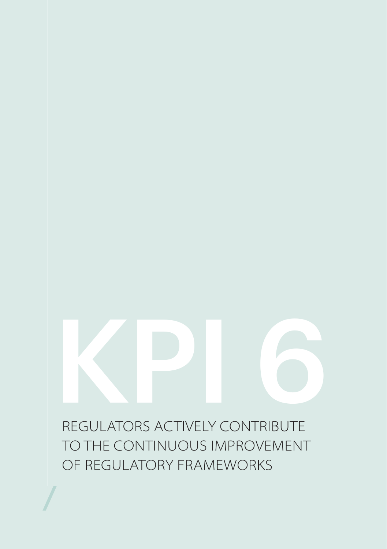<span id="page-25-0"></span>REGULATORS ACTIVELY CONTRIBUTE TO THE CONTINUOUS IMPROVEMENT OF REGULATORY FRAMEWORKS KPI 6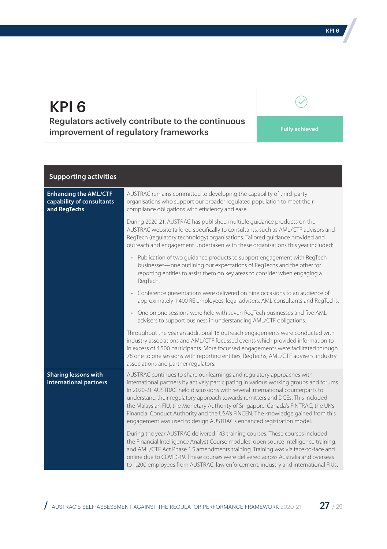Regulators actively contribute to the continuous **improvement of regulatory frameworks Fully achieved** 

 $\checkmark$ 

| <b>Supporting activities</b>                                              |                                                                                                                                                                                                                                                                                                                                                                                                                                                                                                                                                                                         |
|---------------------------------------------------------------------------|-----------------------------------------------------------------------------------------------------------------------------------------------------------------------------------------------------------------------------------------------------------------------------------------------------------------------------------------------------------------------------------------------------------------------------------------------------------------------------------------------------------------------------------------------------------------------------------------|
| <b>Enhancing the AML/CTF</b><br>capability of consultants<br>and RegTechs | AUSTRAC remains committed to developing the capability of third-party<br>organisations who support our broader regulated population to meet their<br>compliance obligations with efficiency and ease.                                                                                                                                                                                                                                                                                                                                                                                   |
|                                                                           | During 2020-21, AUSTRAC has published multiple guidance products on the<br>AUSTRAC website tailored specifically to consultants, such as AML/CTF advisors and<br>RegTech (regulatory technology) organisations. Tailored guidance provided and<br>outreach and engagement undertaken with these organisations this year included:                                                                                                                                                                                                                                                       |
|                                                                           | • Publication of two quidance products to support engagement with RegTech<br>businesses—one outlining our expectations of RegTechs and the other for<br>reporting entities to assist them on key areas to consider when engaging a<br>RegTech.                                                                                                                                                                                                                                                                                                                                          |
|                                                                           | • Conference presentations were delivered on nine occasions to an audience of<br>approximately 1,400 RE employees, legal advisers, AML consultants and RegTechs.                                                                                                                                                                                                                                                                                                                                                                                                                        |
|                                                                           | One on one sessions were held with seven RegTech businesses and five AML<br>advisers to support business in understanding AML/CTF obligations.                                                                                                                                                                                                                                                                                                                                                                                                                                          |
|                                                                           | Throughout the year an additional 18 outreach engagements were conducted with<br>industry associations and AML/CTF focussed events which provided information to<br>in excess of 4,500 participants. More focussed engagements were facilitated through<br>78 one to one sessions with reporting entities, RegTechs, AML/CTF advisers, industry<br>associations and partner regulators.                                                                                                                                                                                                 |
| <b>Sharing lessons with</b><br>international partners                     | AUSTRAC continues to share our learnings and regulatory approaches with<br>international partners by actively participating in various working groups and forums.<br>In 2020-21 AUSTRAC held discussions with several international counterparts to<br>understand their regulatory approach towards remitters and DCEs. This included<br>the Malaysian FIU, the Monetary Authority of Singapore, Canada's FINTRAC, the UK's<br>Financial Conduct Authority and the USA's FINCEN. The knowledge gained from this<br>engagement was used to design AUSTRAC's enhanced registration model. |
|                                                                           | During the year AUSTRAC delivered 143 training courses. These courses included<br>the Financial Intelligence Analyst Course modules, open source intelligence training,<br>and AML/CTF Act Phase 1.5 amendments training. Training was via face-to-face and<br>online due to COVID-19. These courses were delivered across Australia and overseas<br>to 1,200 employees from AUSTRAC, law enforcement, industry and international FIUs.                                                                                                                                                 |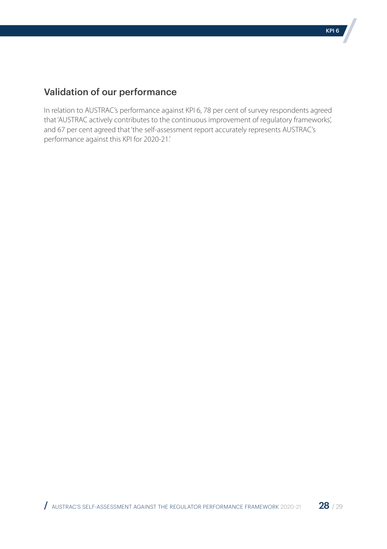## Validation of our performance

In relation to AUSTRAC's performance against KPI 6, 78 per cent of survey respondents agreed that 'AUSTRAC actively contributes to the continuous improvement of regulatory frameworks', and 67 per cent agreed that 'the self-assessment report accurately represents AUSTRAC's performance against this KPI for 2020-21.'